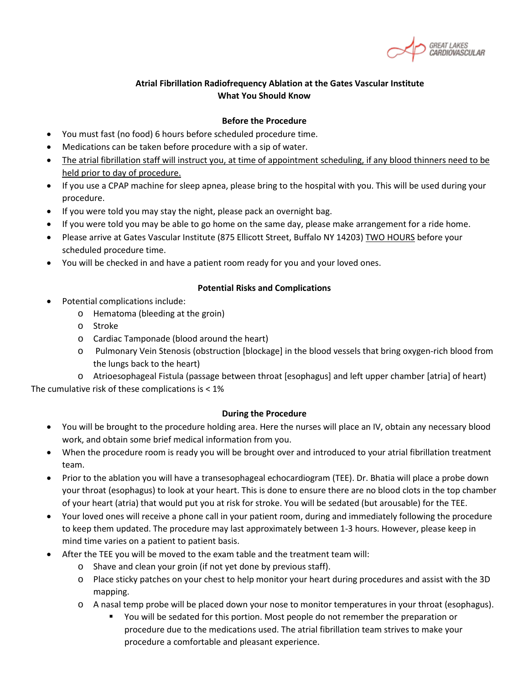#### **Atrial Fibrillation Radiofrequency Ablation at the Gates Vascular Institute What You Should Know**

#### **Before the Procedure**

- You must fast (no food) 6 hours before scheduled procedure time.
- Medications can be taken before procedure with a sip of water.
- The atrial fibrillation staff will instruct you, at time of appointment scheduling, if any blood thinners need to be held prior to day of procedure.
- If you use a CPAP machine for sleep apnea, please bring to the hospital with you. This will be used during your procedure.
- If you were told you may stay the night, please pack an overnight bag.
- If you were told you may be able to go home on the same day, please make arrangement for a ride home.
- Please arrive at Gates Vascular Institute (875 Ellicott Street, Buffalo NY 14203) TWO HOURS before your scheduled procedure time.
- You will be checked in and have a patient room ready for you and your loved ones.

#### **Potential Risks and Complications**

- Potential complications include:
	- o Hematoma (bleeding at the groin)
	- o Stroke
	- o Cardiac Tamponade (blood around the heart)
	- o Pulmonary Vein Stenosis (obstruction [blockage] in the blood vessels that bring oxygen-rich blood from the lungs back to the heart)

o Atrioesophageal Fistula (passage between throat [esophagus] and left upper chamber [atria] of heart) The cumulative risk of these complications is < 1%

#### **During the Procedure**

- You will be brought to the procedure holding area. Here the nurses will place an IV, obtain any necessary blood work, and obtain some brief medical information from you.
- When the procedure room is ready you will be brought over and introduced to your atrial fibrillation treatment team.
- Prior to the ablation you will have a transesophageal echocardiogram (TEE). Dr. Bhatia will place a probe down your throat (esophagus) to look at your heart. This is done to ensure there are no blood clots in the top chamber of your heart (atria) that would put you at risk for stroke. You will be sedated (but arousable) for the TEE.
- Your loved ones will receive a phone call in your patient room, during and immediately following the procedure to keep them updated. The procedure may last approximately between 1-3 hours. However, please keep in mind time varies on a patient to patient basis.
- After the TEE you will be moved to the exam table and the treatment team will:
	- o Shave and clean your groin (if not yet done by previous staff).
	- o Place sticky patches on your chest to help monitor your heart during procedures and assist with the 3D mapping.
	- o A nasal temp probe will be placed down your nose to monitor temperatures in your throat (esophagus).
		- You will be sedated for this portion. Most people do not remember the preparation or procedure due to the medications used. The atrial fibrillation team strives to make your procedure a comfortable and pleasant experience.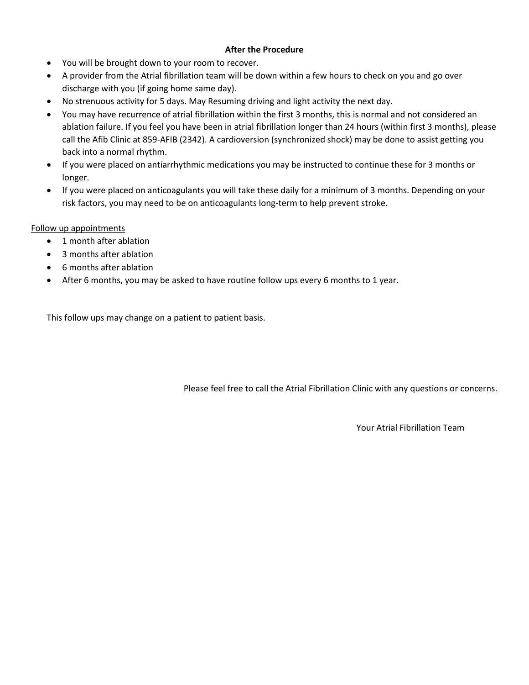#### **After the Procedure**

- You will be brought down to your room to recover.
- A provider from the Atrial fibrillation team will be down within a few hours to check on you and go over discharge with you (if going home same day).
- No strenuous activity for 5 days. May Resuming driving and light activity the next day.
- You may have recurrence of atrial fibrillation within the first 3 months, this is normal and not considered an ablation failure. If you feel you have been in atrial fibrillation longer than 24 hours (within first 3 months), please call the Afib Clinic at 859-AFIB (2342). A cardioversion (synchronized shock) may be done to assist getting you back into a normal rhythm.
- If you were placed on antiarrhythmic medications you may be instructed to continue these for 3 months or longer.
- If you were placed on anticoagulants you will take these daily for a minimum of 3 months. Depending on your risk factors, you may need to be on anticoagulants long-term to help prevent stroke.

#### Follow up appointments

- 1 month after ablation
- 3 months after ablation
- 6 months after ablation
- After 6 months, you may be asked to have routine follow ups every 6 months to 1 year.

This follow ups may change on a patient to patient basis.

Please feel free to call the Atrial Fibrillation Clinic with any questions or concerns.

Your Atrial Fibrillation Team